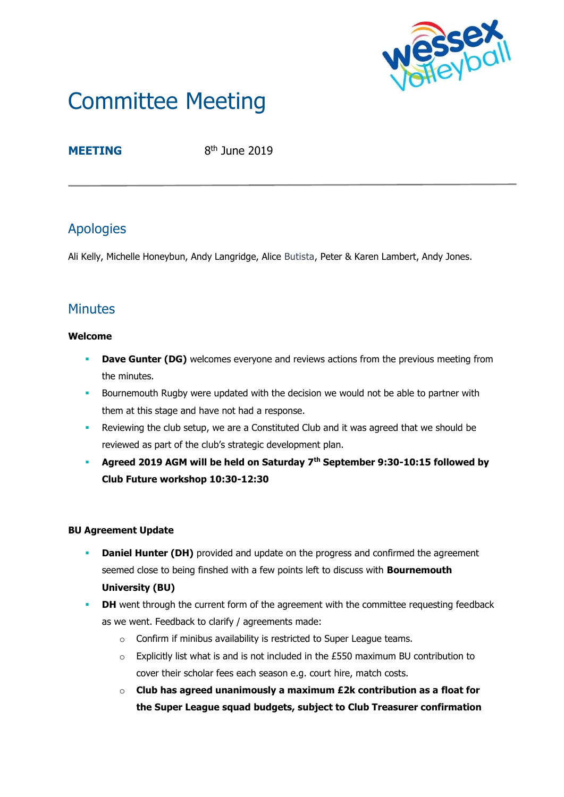

# Committee Meeting

## **MEETING**

 $8<sup>th</sup>$  June 2019

# Apologies

Ali Kelly, Michelle Honeybun, Andy Langridge, Alice Butista, Peter & Karen Lambert, Andy Jones.

# **Minutes**

#### **Welcome**

- **Dave Gunter (DG)** welcomes everyone and reviews actions from the previous meeting from the minutes.
- **Bournemouth Rugby were updated with the decision we would not be able to partner with** them at this stage and have not had a response.
- **•** Reviewing the club setup, we are a Constituted Club and it was agreed that we should be reviewed as part of the club's strategic development plan.
- **Agreed 2019 AGM will be held on Saturday 7th September 9:30-10:15 followed by Club Future workshop 10:30-12:30**

#### **BU Agreement Update**

- **Daniel Hunter (DH)** provided and update on the progress and confirmed the agreement seemed close to being finshed with a few points left to discuss with **Bournemouth University (BU)**
- **DH** went through the current form of the agreement with the committee requesting feedback as we went. Feedback to clarify / agreements made:
	- o Confirm if minibus availability is restricted to Super League teams.
	- $\circ$  Explicitly list what is and is not included in the £550 maximum BU contribution to cover their scholar fees each season e.g. court hire, match costs.
	- o **Club has agreed unanimously a maximum £2k contribution as a float for the Super League squad budgets, subject to Club Treasurer confirmation**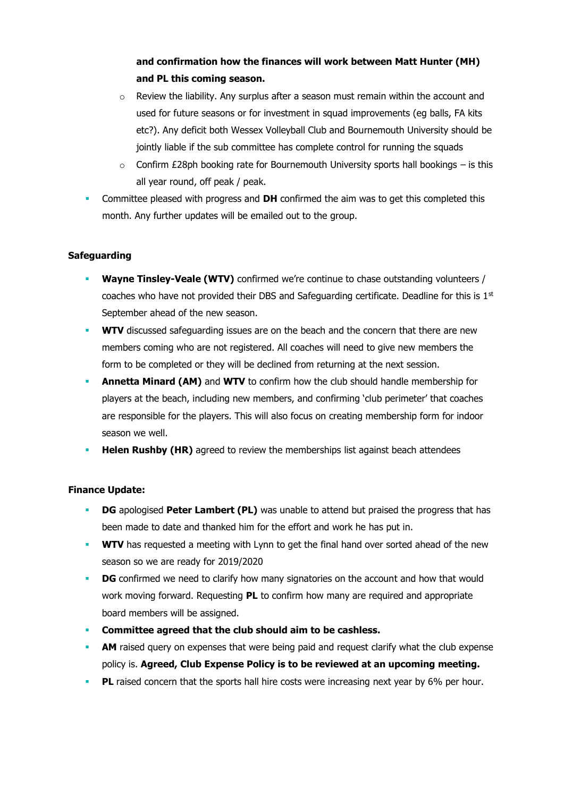### **and confirmation how the finances will work between Matt Hunter (MH) and PL this coming season.**

- $\circ$  Review the liability. Any surplus after a season must remain within the account and used for future seasons or for investment in squad improvements (eg balls, FA kits etc?). Any deficit both Wessex Volleyball Club and Bournemouth University should be jointly liable if the sub committee has complete control for running the squads
- $\circ$  Confirm £28ph booking rate for Bournemouth University sports hall bookings is this all year round, off peak / peak.
- **•** Committee pleased with progress and **DH** confirmed the aim was to get this completed this month. Any further updates will be emailed out to the group.

#### **Safeguarding**

- **Wayne Tinsley-Veale (WTV)** confirmed we're continue to chase outstanding volunteers / coaches who have not provided their DBS and Safeguarding certificate. Deadline for this is  $1<sup>st</sup>$ September ahead of the new season.
- **WTV** discussed safeguarding issues are on the beach and the concern that there are new members coming who are not registered. All coaches will need to give new members the form to be completed or they will be declined from returning at the next session.
- **Annetta Minard (AM)** and **WTV** to confirm how the club should handle membership for players at the beach, including new members, and confirming 'club perimeter' that coaches are responsible for the players. This will also focus on creating membership form for indoor season we well.
- **Helen Rushby (HR)** agreed to review the memberships list against beach attendees

#### **Finance Update:**

- **DG** apologised **Peter Lambert (PL)** was unable to attend but praised the progress that has been made to date and thanked him for the effort and work he has put in.
- **WTV** has requested a meeting with Lynn to get the final hand over sorted ahead of the new season so we are ready for 2019/2020
- **DG** confirmed we need to clarify how many signatories on the account and how that would work moving forward. Requesting **PL** to confirm how many are required and appropriate board members will be assigned.
- **Committee agreed that the club should aim to be cashless.**
- **AM** raised query on expenses that were being paid and request clarify what the club expense policy is. **Agreed, Club Expense Policy is to be reviewed at an upcoming meeting.**
- **PL** raised concern that the sports hall hire costs were increasing next year by 6% per hour.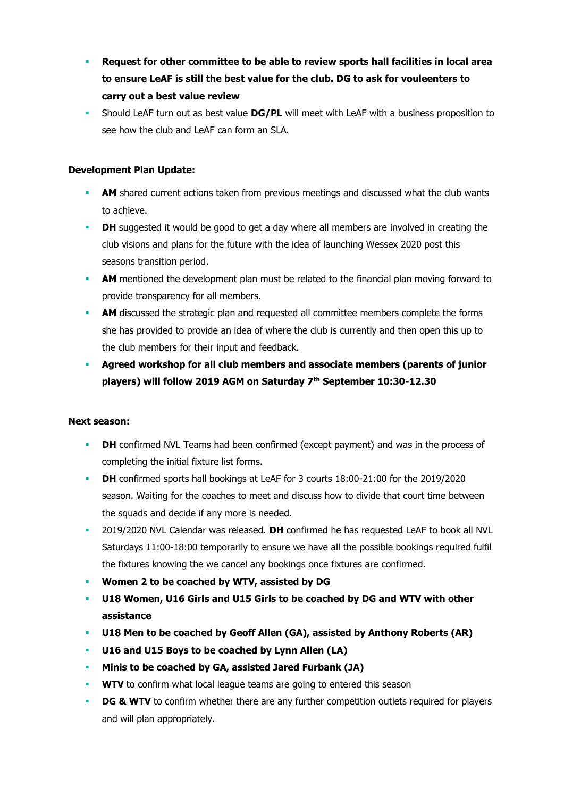- **Request for other committee to be able to review sports hall facilities in local area to ensure LeAF is still the best value for the club. DG to ask for vouleenters to carry out a best value review**
- Should LeAF turn out as best value **DG/PL** will meet with LeAF with a business proposition to see how the club and LeAF can form an SLA.

#### **Development Plan Update:**

- **AM** shared current actions taken from previous meetings and discussed what the club wants to achieve.
- **DH** suggested it would be good to get a day where all members are involved in creating the club visions and plans for the future with the idea of launching Wessex 2020 post this seasons transition period.
- **AM** mentioned the development plan must be related to the financial plan moving forward to provide transparency for all members.
- **AM** discussed the strategic plan and requested all committee members complete the forms she has provided to provide an idea of where the club is currently and then open this up to the club members for their input and feedback.
- **Agreed workshop for all club members and associate members (parents of junior players) will follow 2019 AGM on Saturday 7th September 10:30-12.30**

#### **Next season:**

- **DH** confirmed NVL Teams had been confirmed (except payment) and was in the process of completing the initial fixture list forms.
- **DH** confirmed sports hall bookings at LeAF for 3 courts 18:00-21:00 for the 2019/2020 season. Waiting for the coaches to meet and discuss how to divide that court time between the squads and decide if any more is needed.
- 2019/2020 NVL Calendar was released. **DH** confirmed he has requested LeAF to book all NVL Saturdays 11:00-18:00 temporarily to ensure we have all the possible bookings required fulfil the fixtures knowing the we cancel any bookings once fixtures are confirmed.
- **Women 2 to be coached by WTV, assisted by DG**
- **U18 Women, U16 Girls and U15 Girls to be coached by DG and WTV with other assistance**
- **U18 Men to be coached by Geoff Allen (GA), assisted by Anthony Roberts (AR)**
- U16 and U15 Boys to be coached by Lynn Allen (LA)
- **Minis to be coached by GA, assisted Jared Furbank (JA)**
- **WTV** to confirm what local league teams are going to entered this season
- **DG & WTV** to confirm whether there are any further competition outlets required for players and will plan appropriately.